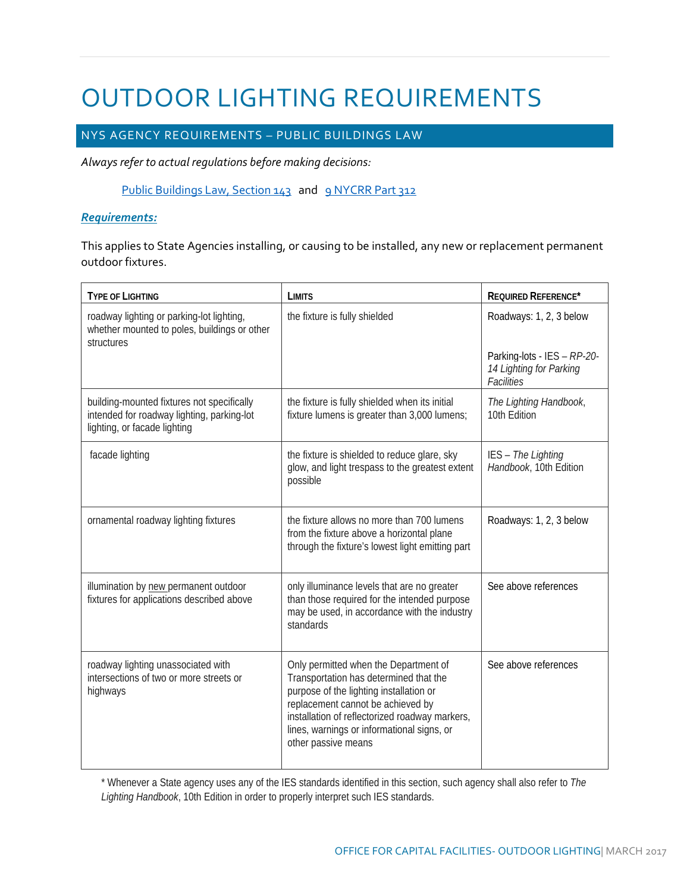# OUTDOOR LIGHTING REQUIREMENTS

# NYS AGENCY REQUIREMENTS – PUBLIC BUILDINGS LAW

*Always refer to actual regulations before making decisions:* 

# [Public Buildings Law, Section 143](http://nys.law.streaver.net/PBB/a2390/143.html) and [9 NYCRR Part 312](https://govt.westlaw.com/nycrr/Browse/Home/NewYork/NewYorkCodesRulesandRegulations?guid=Id41a92f0949811e688459ab14639e200&originationContext=documenttoc&transitionType=Default&contextData=(sc.Default))

#### *Requirements:*

This applies to State Agencies installing, or causing to be installed, any new or replacement permanent outdoor fixtures.

| <b>TYPE OF LIGHTING</b>                                                                                                  | <b>LIMITS</b>                                                                                                                                                                                                                                                                          | <b>REQUIRED REFERENCE*</b>                                                  |
|--------------------------------------------------------------------------------------------------------------------------|----------------------------------------------------------------------------------------------------------------------------------------------------------------------------------------------------------------------------------------------------------------------------------------|-----------------------------------------------------------------------------|
| roadway lighting or parking-lot lighting,<br>whether mounted to poles, buildings or other<br>structures                  | the fixture is fully shielded                                                                                                                                                                                                                                                          | Roadways: 1, 2, 3 below                                                     |
|                                                                                                                          |                                                                                                                                                                                                                                                                                        | Parking-lots - IES - RP-20-<br>14 Lighting for Parking<br><b>Facilities</b> |
| building-mounted fixtures not specifically<br>intended for roadway lighting, parking-lot<br>lighting, or facade lighting | the fixture is fully shielded when its initial<br>fixture lumens is greater than 3,000 lumens;                                                                                                                                                                                         | The Lighting Handbook,<br>10th Edition                                      |
| facade lighting                                                                                                          | the fixture is shielded to reduce glare, sky<br>glow, and light trespass to the greatest extent<br>possible                                                                                                                                                                            | IES - The Lighting<br>Handbook, 10th Edition                                |
| ornamental roadway lighting fixtures                                                                                     | the fixture allows no more than 700 lumens<br>from the fixture above a horizontal plane<br>through the fixture's lowest light emitting part                                                                                                                                            | Roadways: 1, 2, 3 below                                                     |
| illumination by new permanent outdoor<br>fixtures for applications described above                                       | only illuminance levels that are no greater<br>than those required for the intended purpose<br>may be used, in accordance with the industry<br>standards                                                                                                                               | See above references                                                        |
| roadway lighting unassociated with<br>intersections of two or more streets or<br>highways                                | Only permitted when the Department of<br>Transportation has determined that the<br>purpose of the lighting installation or<br>replacement cannot be achieved by<br>installation of reflectorized roadway markers,<br>lines, warnings or informational signs, or<br>other passive means | See above references                                                        |

\* Whenever a State agency uses any of the IES standards identified in this section, such agency shall also refer to *The Lighting Handbook*, 10th Edition in order to properly interpret such IES standards.